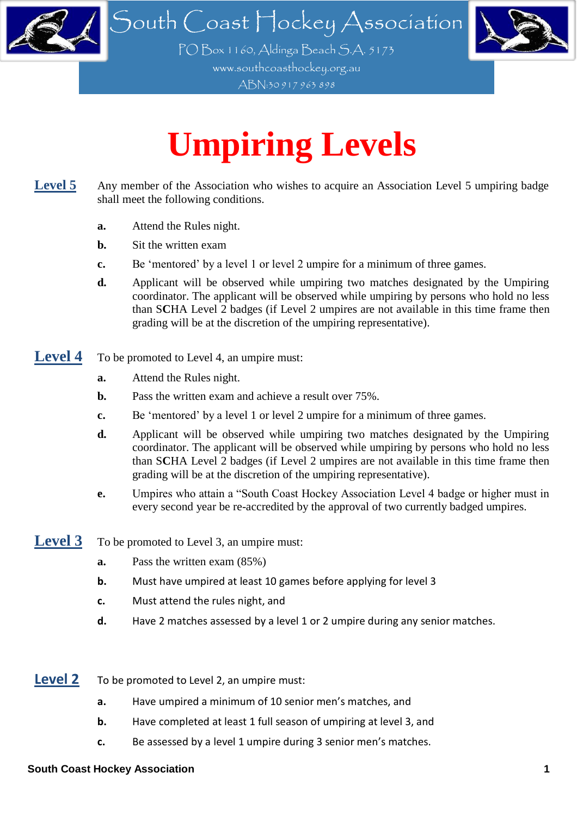

ABN:30 917 963 898

## **Umpiring Levels**

- Level 5 Any member of the Association who wishes to acquire an Association Level 5 umpiring badge shall meet the following conditions.
	- **a.** Attend the Rules night.
	- **b.** Sit the written exam
	- **c.** Be 'mentored' by a level 1 or level 2 umpire for a minimum of three games.
	- **d.** Applicant will be observed while umpiring two matches designated by the Umpiring coordinator. The applicant will be observed while umpiring by persons who hold no less than S**C**HA Level 2 badges (if Level 2 umpires are not available in this time frame then grading will be at the discretion of the umpiring representative).
- **Level 4** To be promoted to Level 4, an umpire must:
	- **a.** Attend the Rules night.
	- **b.** Pass the written exam and achieve a result over 75%.
	- **c.** Be 'mentored' by a level 1 or level 2 umpire for a minimum of three games.
	- **d.** Applicant will be observed while umpiring two matches designated by the Umpiring coordinator. The applicant will be observed while umpiring by persons who hold no less than S**C**HA Level 2 badges (if Level 2 umpires are not available in this time frame then grading will be at the discretion of the umpiring representative).
	- **e.** Umpires who attain a "South Coast Hockey Association Level 4 badge or higher must in every second year be re-accredited by the approval of two currently badged umpires.
- **Level 3** To be promoted to Level 3, an umpire must:
	- **a.** Pass the written exam (85%)
	- **b.** Must have umpired at least 10 games before applying for level 3
	- **c.** Must attend the rules night, and
	- **d.** Have 2 matches assessed by a level 1 or 2 umpire during any senior matches.
- **Level 2** To be promoted to Level 2, an umpire must:
	- **a.** Have umpired a minimum of 10 senior men's matches, and
	- **b.** Have completed at least 1 full season of umpiring at level 3, and
	- **c.** Be assessed by a level 1 umpire during 3 senior men's matches.

## **South Coast Hockey Association 1**